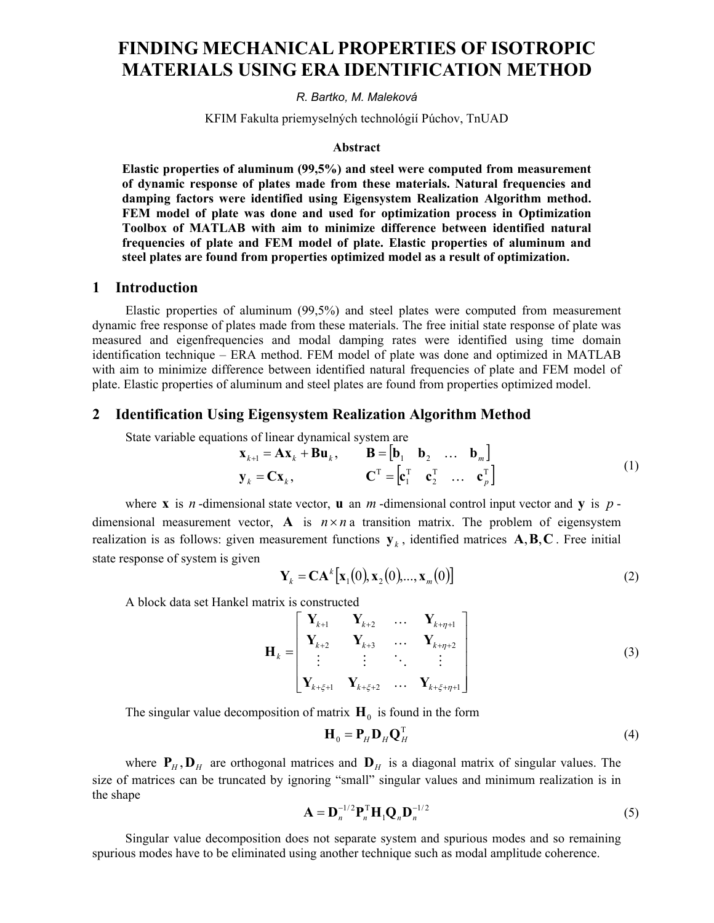# **FINDING MECHANICAL PROPERTIES OF ISOTROPIC MATERIALS USING ERA IDENTIFICATION METHOD**

*R. Bartko, M. Maleková*

KFIM Fakulta priemyselných technológií Púchov, TnUAD

#### **Abstract**

**Elastic properties of aluminum (99,5%) and steel were computed from measurement of dynamic response of plates made from these materials. Natural frequencies and damping factors were identified using Eigensystem Realization Algorithm method. FEM model of plate was done and used for optimization process in Optimization Toolbox of MATLAB with aim to minimize difference between identified natural frequencies of plate and FEM model of plate. Elastic properties of aluminum and steel plates are found from properties optimized model as a result of optimization.**

#### **1 Introduction**

Elastic properties of aluminum (99,5%) and steel plates were computed from measurement dynamic free response of plates made from these materials. The free initial state response of plate was measured and eigenfrequencies and modal damping rates were identified using time domain identification technique – ERA method. FEM model of plate was done and optimized in MATLAB with aim to minimize difference between identified natural frequencies of plate and FEM model of plate. Elastic properties of aluminum and steel plates are found from properties optimized model.

#### **2 Identification Using Eigensystem Realization Algorithm Method**

State variable equations of linear dynamical system are

$$
\mathbf{x}_{k+1} = \mathbf{A}\mathbf{x}_k + \mathbf{B}\mathbf{u}_k, \qquad \mathbf{B} = \begin{bmatrix} \mathbf{b}_1 & \mathbf{b}_2 & \dots & \mathbf{b}_m \end{bmatrix}
$$
\n
$$
\mathbf{y}_k = \mathbf{C}\mathbf{x}_k, \qquad \mathbf{C}^{\mathrm{T}} = \begin{bmatrix} \mathbf{c}_1^{\mathrm{T}} & \mathbf{c}_2^{\mathrm{T}} & \dots & \mathbf{c}_p^{\mathrm{T}} \end{bmatrix}
$$
\n(1)

where **x** is *n*-dimensional state vector, **u** an *m*-dimensional control input vector and **y** is  $p$ dimensional measurement vector, **A** is  $n \times n$  a transition matrix. The problem of eigensystem realization is as follows: given measurement functions  $y_k$ , identified matrices  $A, B, C$ . Free initial state response of system is given

$$
\mathbf{Y}_k = \mathbf{C} \mathbf{A}^k [\mathbf{x}_1(0), \mathbf{x}_2(0), ..., \mathbf{x}_m(0)] \tag{2}
$$

A block data set Hankel matrix is constructed

$$
\mathbf{H}_{k} = \begin{bmatrix} \mathbf{Y}_{k+1} & \mathbf{Y}_{k+2} & \dots & \mathbf{Y}_{k+\eta+1} \\ \mathbf{Y}_{k+2} & \mathbf{Y}_{k+3} & \dots & \mathbf{Y}_{k+\eta+2} \\ \vdots & \vdots & \ddots & \vdots \\ \mathbf{Y}_{k+\xi+1} & \mathbf{Y}_{k+\xi+2} & \dots & \mathbf{Y}_{k+\xi+\eta+1} \end{bmatrix}
$$
(3)

The singular value decomposition of matrix  $H_0$  is found in the form

$$
\mathbf{H}_0 = \mathbf{P}_H \mathbf{D}_H \mathbf{Q}_H^{\mathrm{T}}
$$
 (4)

where  $P_H$ ,  $D_H$  are orthogonal matrices and  $D_H$  is a diagonal matrix of singular values. The size of matrices can be truncated by ignoring "small" singular values and minimum realization is in the shape

$$
\mathbf{A} = \mathbf{D}_n^{-1/2} \mathbf{P}_n^{\mathrm{T}} \mathbf{H}_1 \mathbf{Q}_n \mathbf{D}_n^{-1/2}
$$
 (5)

Singular value decomposition does not separate system and spurious modes and so remaining spurious modes have to be eliminated using another technique such as modal amplitude coherence.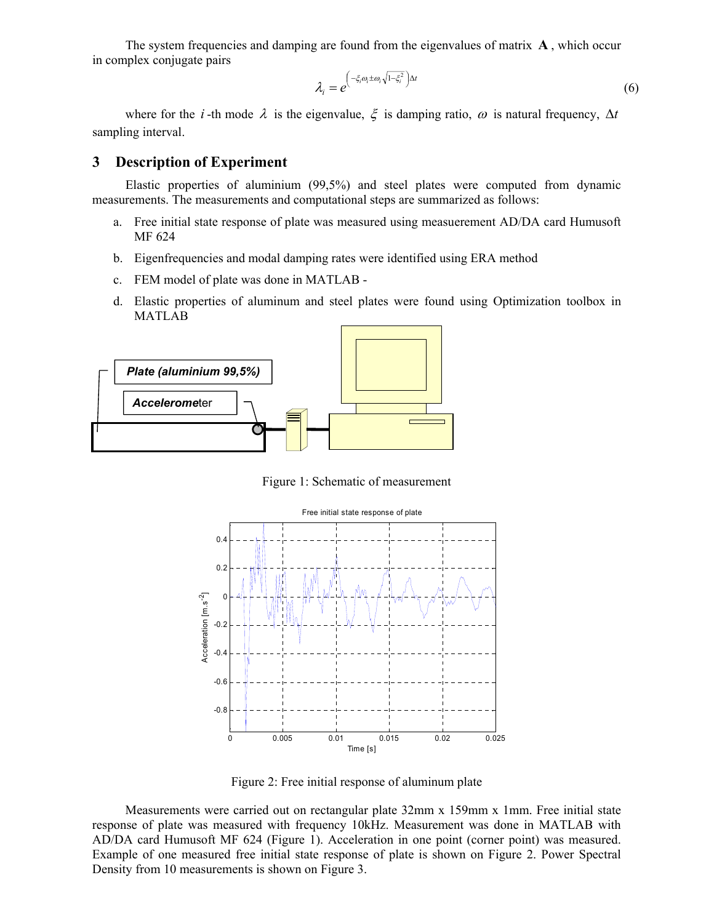The system frequencies and damping are found from the eigenvalues of matrix **A** , which occur in complex conjugate pairs

$$
\lambda_i = e^{\left(-\xi_i \omega_i \pm \omega_i \sqrt{1 - \xi_i^2}\right) \Delta t}
$$
\n(6)

where for the *i*-th mode  $\lambda$  is the eigenvalue,  $\xi$  is damping ratio,  $\omega$  is natural frequency,  $\Delta t$ sampling interval.

#### **3 Description of Experiment**

Elastic properties of aluminium (99,5%) and steel plates were computed from dynamic measurements. The measurements and computational steps are summarized as follows:

- a. Free initial state response of plate was measured using measuerement AD/DA card Humusoft MF 624
- b. Eigenfrequencies and modal damping rates were identified using ERA method
- c. FEM model of plate was done in MATLAB -
- d. Elastic properties of aluminum and steel plates were found using Optimization toolbox in MATLAB



Figure 1: Schematic of measurement



Figure 2: Free initial response of aluminum plate

Measurements were carried out on rectangular plate 32mm x 159mm x 1mm. Free initial state response of plate was measured with frequency 10kHz. Measurement was done in MATLAB with AD/DA card Humusoft MF 624 (Figure 1). Acceleration in one point (corner point) was measured. Example of one measured free initial state response of plate is shown on Figure 2. Power Spectral Density from 10 measurements is shown on Figure 3.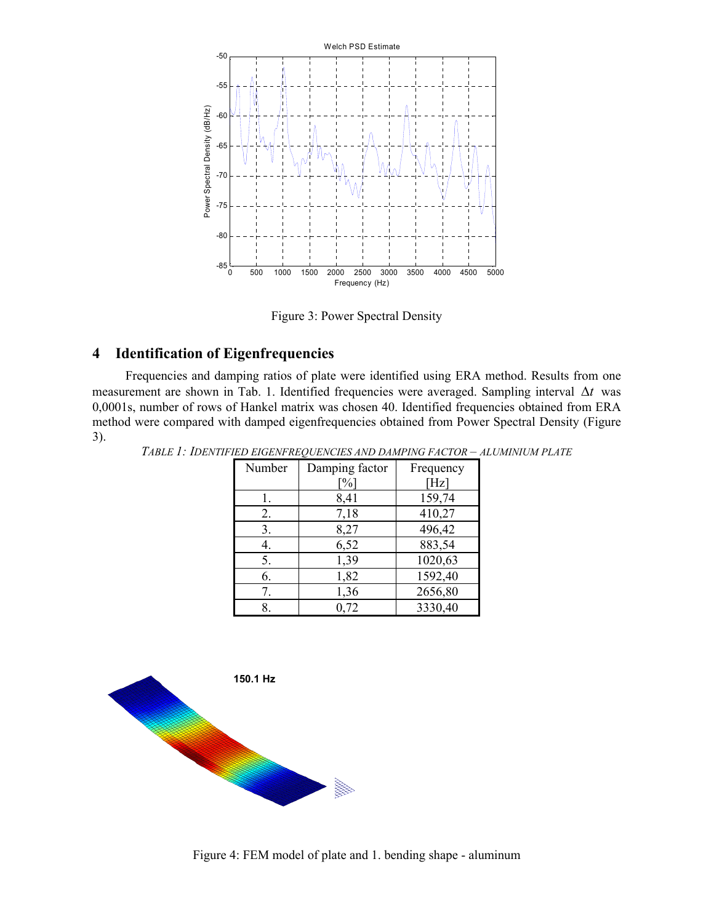

Figure 3: Power Spectral Density

### **4 Identification of Eigenfrequencies**

Frequencies and damping ratios of plate were identified using ERA method. Results from one measurement are shown in Tab. 1. Identified frequencies were averaged. Sampling interval ∆*t* was 0,0001s, number of rows of Hankel matrix was chosen 40. Identified frequencies obtained from ERA method were compared with damped eigenfrequencies obtained from Power Spectral Density (Figure 3).

| а нь номи кносно на влага гасток<br>11 L |        |                |           |  |  |  |
|------------------------------------------|--------|----------------|-----------|--|--|--|
|                                          | Number | Damping factor | Frequency |  |  |  |
|                                          |        | $\%$           | [Hz]      |  |  |  |
|                                          |        | 8,41           | 159,74    |  |  |  |
|                                          | 2.     | 7,18           | 410,27    |  |  |  |
|                                          | 3.     | 8,27           | 496,42    |  |  |  |
|                                          | 4.     | 6,52           | 883,54    |  |  |  |
|                                          | 5.     | 1,39           | 1020,63   |  |  |  |
|                                          | 6.     | 1,82           | 1592,40   |  |  |  |
|                                          |        | 1,36           | 2656,80   |  |  |  |
|                                          | 8.     | 0.72           | 3330,40   |  |  |  |
|                                          |        |                |           |  |  |  |

*TABLE 1: IDENTIFIED EIGENFREQUENCIES AND DAMPING FACTOR – ALUMINIUM PLATE*



Figure 4: FEM model of plate and 1. bending shape - aluminum